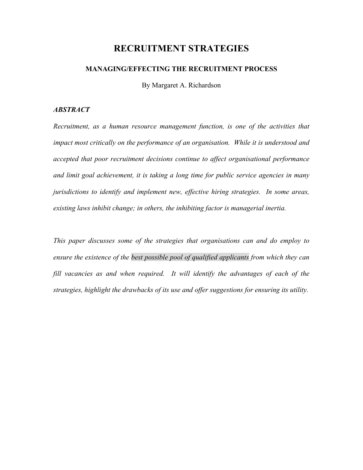# **RECRUITMENT STRATEGIES**

# **MANAGING/EFFECTING THE RECRUITMENT PROCESS**

By Margaret A. Richardson

#### *ABSTRACT*

*Recruitment, as a human resource management function, is one of the activities that impact most critically on the performance of an organisation. While it is understood and accepted that poor recruitment decisions continue to affect organisational performance and limit goal achievement, it is taking a long time for public service agencies in many jurisdictions to identify and implement new, effective hiring strategies. In some areas, existing laws inhibit change; in others, the inhibiting factor is managerial inertia.* 

*This paper discusses some of the strategies that organisations can and do employ to ensure the existence of the best possible pool of qualified applicants from which they can fill vacancies as and when required. It will identify the advantages of each of the strategies, highlight the drawbacks of its use and offer suggestions for ensuring its utility.*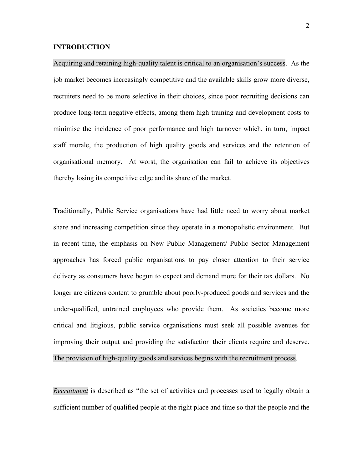#### **INTRODUCTION**

Acquiring and retaining high-quality talent is critical to an organisation's success. As the job market becomes increasingly competitive and the available skills grow more diverse, recruiters need to be more selective in their choices, since poor recruiting decisions can produce long-term negative effects, among them high training and development costs to minimise the incidence of poor performance and high turnover which, in turn, impact staff morale, the production of high quality goods and services and the retention of organisational memory. At worst, the organisation can fail to achieve its objectives thereby losing its competitive edge and its share of the market.

Traditionally, Public Service organisations have had little need to worry about market share and increasing competition since they operate in a monopolistic environment. But in recent time, the emphasis on New Public Management/ Public Sector Management approaches has forced public organisations to pay closer attention to their service delivery as consumers have begun to expect and demand more for their tax dollars. No longer are citizens content to grumble about poorly-produced goods and services and the under-qualified, untrained employees who provide them. As societies become more critical and litigious, public service organisations must seek all possible avenues for improving their output and providing the satisfaction their clients require and deserve. The provision of high-quality goods and services begins with the recruitment process.

*Recruitment* is described as "the set of activities and processes used to legally obtain a sufficient number of qualified people at the right place and time so that the people and the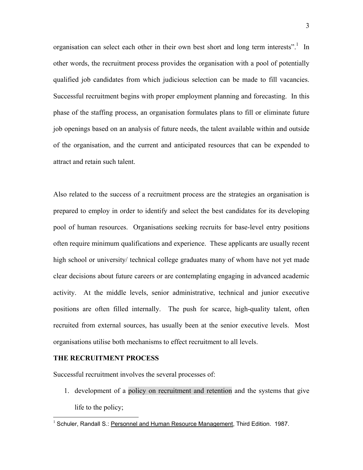organisation can select each other in their own best short and long term interests".<sup>1</sup> In other words, the recruitment process provides the organisation with a pool of potentially qualified job candidates from which judicious selection can be made to fill vacancies. Successful recruitment begins with proper employment planning and forecasting. In this phase of the staffing process, an organisation formulates plans to fill or eliminate future job openings based on an analysis of future needs, the talent available within and outside of the organisation, and the current and anticipated resources that can be expended to attract and retain such talent.

Also related to the success of a recruitment process are the strategies an organisation is prepared to employ in order to identify and select the best candidates for its developing pool of human resources. Organisations seeking recruits for base-level entry positions often require minimum qualifications and experience. These applicants are usually recent high school or university/ technical college graduates many of whom have not yet made clear decisions about future careers or are contemplating engaging in advanced academic activity. At the middle levels, senior administrative, technical and junior executive positions are often filled internally. The push for scarce, high-quality talent, often recruited from external sources, has usually been at the senior executive levels. Most organisations utilise both mechanisms to effect recruitment to all levels.

#### **THE RECRUITMENT PROCESS**

 $\overline{a}$ 

Successful recruitment involves the several processes of:

1. development of a policy on recruitment and retention and the systems that give life to the policy;

<sup>&</sup>lt;sup>1</sup> Schuler, Randall S.: Personnel and Human Resource Management, Third Edition. 1987.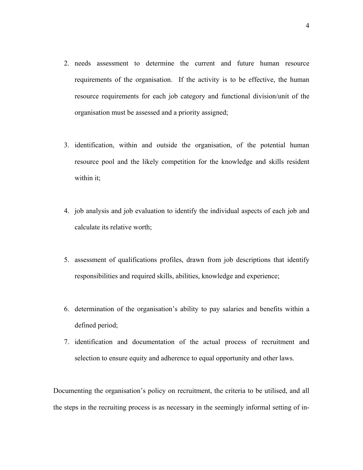- 2. needs assessment to determine the current and future human resource requirements of the organisation. If the activity is to be effective, the human resource requirements for each job category and functional division/unit of the organisation must be assessed and a priority assigned;
- 3. identification, within and outside the organisation, of the potential human resource pool and the likely competition for the knowledge and skills resident within it;
- 4. job analysis and job evaluation to identify the individual aspects of each job and calculate its relative worth;
- 5. assessment of qualifications profiles, drawn from job descriptions that identify responsibilities and required skills, abilities, knowledge and experience;
- 6. determination of the organisation's ability to pay salaries and benefits within a defined period;
- 7. identification and documentation of the actual process of recruitment and selection to ensure equity and adherence to equal opportunity and other laws.

Documenting the organisation's policy on recruitment, the criteria to be utilised, and all the steps in the recruiting process is as necessary in the seemingly informal setting of in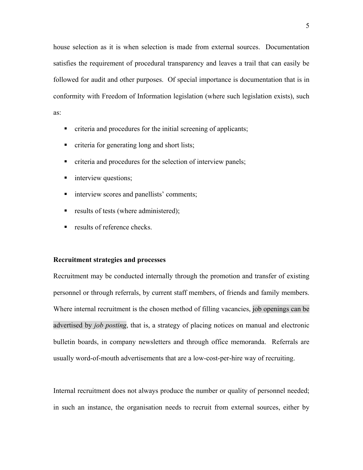house selection as it is when selection is made from external sources. Documentation satisfies the requirement of procedural transparency and leaves a trail that can easily be followed for audit and other purposes. Of special importance is documentation that is in conformity with Freedom of Information legislation (where such legislation exists), such as:

- criteria and procedures for the initial screening of applicants;
- criteria for generating long and short lists;
- criteria and procedures for the selection of interview panels;
- **n** interview questions;
- **imeratively** scores and panellists' comments;
- results of tests (where administered);
- **•** results of reference checks.

#### **Recruitment strategies and processes**

Recruitment may be conducted internally through the promotion and transfer of existing personnel or through referrals, by current staff members, of friends and family members. Where internal recruitment is the chosen method of filling vacancies, job openings can be advertised by *job posting*, that is, a strategy of placing notices on manual and electronic bulletin boards, in company newsletters and through office memoranda. Referrals are usually word-of-mouth advertisements that are a low-cost-per-hire way of recruiting.

Internal recruitment does not always produce the number or quality of personnel needed; in such an instance, the organisation needs to recruit from external sources, either by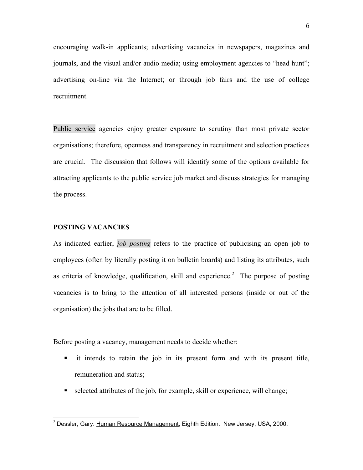encouraging walk-in applicants; advertising vacancies in newspapers, magazines and journals, and the visual and/or audio media; using employment agencies to "head hunt"; advertising on-line via the Internet; or through job fairs and the use of college recruitment.

Public service agencies enjoy greater exposure to scrutiny than most private sector organisations; therefore, openness and transparency in recruitment and selection practices are crucial. The discussion that follows will identify some of the options available for attracting applicants to the public service job market and discuss strategies for managing the process.

## **POSTING VACANCIES**

 $\overline{a}$ 

As indicated earlier, *job posting* refers to the practice of publicising an open job to employees (often by literally posting it on bulletin boards) and listing its attributes, such as criteria of knowledge, qualification, skill and experience.<sup>2</sup> The purpose of posting vacancies is to bring to the attention of all interested persons (inside or out of the organisation) the jobs that are to be filled.

Before posting a vacancy, management needs to decide whether:

- it intends to retain the job in its present form and with its present title, remuneration and status;
- selected attributes of the job, for example, skill or experience, will change;

 $2$  Dessler, Gary: Human Resource Management, Eighth Edition. New Jersey, USA, 2000.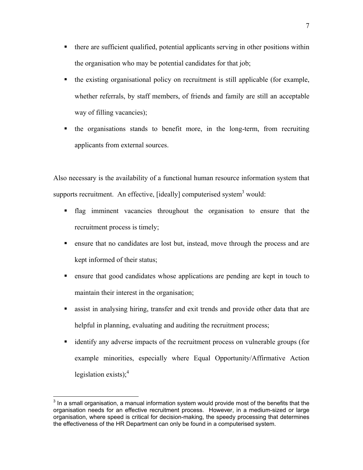- there are sufficient qualified, potential applicants serving in other positions within the organisation who may be potential candidates for that job;
- the existing organisational policy on recruitment is still applicable (for example, whether referrals, by staff members, of friends and family are still an acceptable way of filling vacancies);
- the organisations stands to benefit more, in the long-term, from recruiting applicants from external sources.

Also necessary is the availability of a functional human resource information system that supports recruitment. An effective, [ideally] computerised system<sup>3</sup> would:

- flag imminent vacancies throughout the organisation to ensure that the recruitment process is timely;
- ensure that no candidates are lost but, instead, move through the process and are kept informed of their status;
- ensure that good candidates whose applications are pending are kept in touch to maintain their interest in the organisation;
- assist in analysing hiring, transfer and exit trends and provide other data that are helpful in planning, evaluating and auditing the recruitment process;
- identify any adverse impacts of the recruitment process on vulnerable groups (for example minorities, especially where Equal Opportunity/Affirmative Action legislation exists); $<sup>4</sup>$ </sup>

**EXECTS 2012**<br><sup>3</sup> In a small organisation, a manual information system would provide most of the benefits that the organisation needs for an effective recruitment process. However, in a medium-sized or large organisation, where speed is critical for decision-making, the speedy processing that determines the effectiveness of the HR Department can only be found in a computerised system.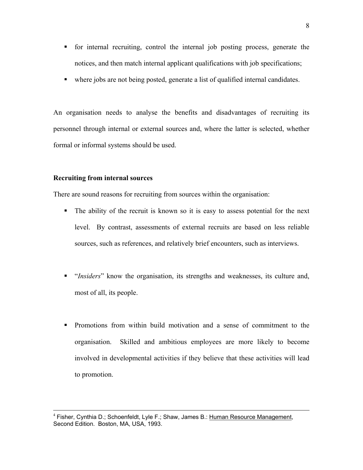- for internal recruiting, control the internal job posting process, generate the notices, and then match internal applicant qualifications with job specifications;
- where jobs are not being posted, generate a list of qualified internal candidates.

An organisation needs to analyse the benefits and disadvantages of recruiting its personnel through internal or external sources and, where the latter is selected, whether formal or informal systems should be used.

#### **Recruiting from internal sources**

There are sound reasons for recruiting from sources within the organisation:

- The ability of the recruit is known so it is easy to assess potential for the next level. By contrast, assessments of external recruits are based on less reliable sources, such as references, and relatively brief encounters, such as interviews.
- "*Insiders*" know the organisation, its strengths and weaknesses, its culture and, most of all, its people.
- Promotions from within build motivation and a sense of commitment to the organisation. Skilled and ambitious employees are more likely to become involved in developmental activities if they believe that these activities will lead to promotion.

<sup>4</sup> Fisher, Cynthia D.; Schoenfeldt, Lyle F.; Shaw, James B.: Human Resource Management, Second Edition. Boston, MA, USA, 1993.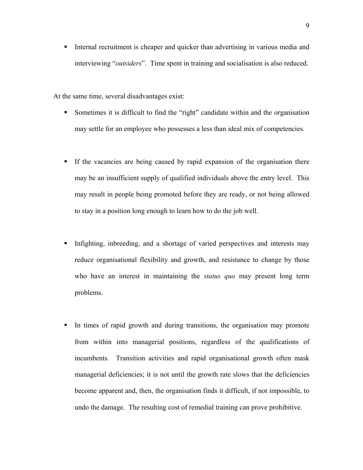Internal recruitment is cheaper and quicker than advertising in various media and interviewing "*outsiders*". Time spent in training and socialisation is also reduced.

At the same time, several disadvantages exist:

- Sometimes it is difficult to find the "right" candidate within and the organisation may settle for an employee who possesses a less than ideal mix of competencies.
- If the vacancies are being caused by rapid expansion of the organisation there may be an insufficient supply of qualified individuals above the entry level. This may result in people being promoted before they are ready, or not being allowed to stay in a position long enough to learn how to do the job well.
- Infighting, inbreeding, and a shortage of varied perspectives and interests may reduce organisational flexibility and growth, and resistance to change by those who have an interest in maintaining the *status quo* may present long term problems.
- In times of rapid growth and during transitions, the organisation may promote from within into managerial positions, regardless of the qualifications of incumbents. Transition activities and rapid organisational growth often mask managerial deficiencies; it is not until the growth rate slows that the deficiencies become apparent and, then, the organisation finds it difficult, if not impossible, to undo the damage. The resulting cost of remedial training can prove prohibitive.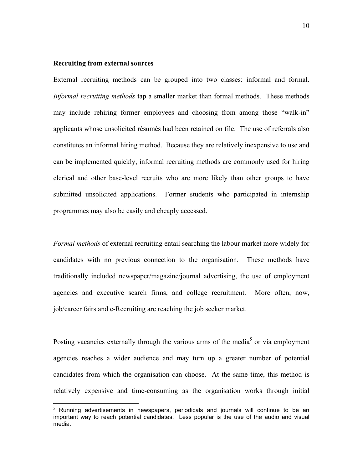#### **Recruiting from external sources**

 $\overline{a}$ 

External recruiting methods can be grouped into two classes: informal and formal. *Informal recruiting methods* tap a smaller market than formal methods. These methods may include rehiring former employees and choosing from among those "walk-in" applicants whose unsolicited résumés had been retained on file. The use of referrals also constitutes an informal hiring method. Because they are relatively inexpensive to use and can be implemented quickly, informal recruiting methods are commonly used for hiring clerical and other base-level recruits who are more likely than other groups to have submitted unsolicited applications. Former students who participated in internship programmes may also be easily and cheaply accessed.

*Formal methods* of external recruiting entail searching the labour market more widely for candidates with no previous connection to the organisation. These methods have traditionally included newspaper/magazine/journal advertising, the use of employment agencies and executive search firms, and college recruitment. More often, now, job/career fairs and e-Recruiting are reaching the job seeker market.

Posting vacancies externally through the various arms of the media<sup>5</sup> or via employment agencies reaches a wider audience and may turn up a greater number of potential candidates from which the organisation can choose. At the same time, this method is relatively expensive and time-consuming as the organisation works through initial

 $<sup>5</sup>$  Running advertisements in newspapers, periodicals and journals will continue to be an</sup> important way to reach potential candidates. Less popular is the use of the audio and visual media.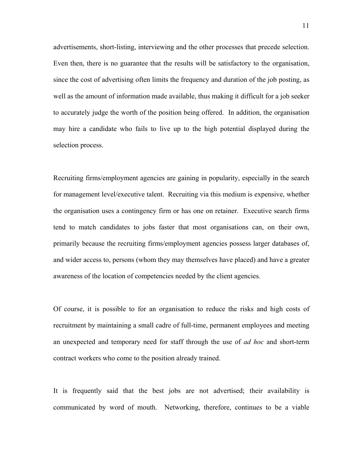advertisements, short-listing, interviewing and the other processes that precede selection. Even then, there is no guarantee that the results will be satisfactory to the organisation, since the cost of advertising often limits the frequency and duration of the job posting, as well as the amount of information made available, thus making it difficult for a job seeker to accurately judge the worth of the position being offered. In addition, the organisation may hire a candidate who fails to live up to the high potential displayed during the selection process.

Recruiting firms/employment agencies are gaining in popularity, especially in the search for management level/executive talent. Recruiting via this medium is expensive, whether the organisation uses a contingency firm or has one on retainer. Executive search firms tend to match candidates to jobs faster that most organisations can, on their own, primarily because the recruiting firms/employment agencies possess larger databases of, and wider access to, persons (whom they may themselves have placed) and have a greater awareness of the location of competencies needed by the client agencies.

Of course, it is possible to for an organisation to reduce the risks and high costs of recruitment by maintaining a small cadre of full-time, permanent employees and meeting an unexpected and temporary need for staff through the use of *ad hoc* and short-term contract workers who come to the position already trained.

It is frequently said that the best jobs are not advertised; their availability is communicated by word of mouth. Networking, therefore, continues to be a viable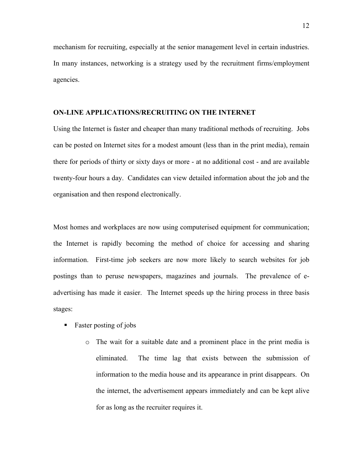mechanism for recruiting, especially at the senior management level in certain industries. In many instances, networking is a strategy used by the recruitment firms/employment agencies.

# **ON-LINE APPLICATIONS/RECRUITING ON THE INTERNET**

Using the Internet is faster and cheaper than many traditional methods of recruiting. Jobs can be posted on Internet sites for a modest amount (less than in the print media), remain there for periods of thirty or sixty days or more - at no additional cost - and are available twenty-four hours a day. Candidates can view detailed information about the job and the organisation and then respond electronically.

Most homes and workplaces are now using computerised equipment for communication; the Internet is rapidly becoming the method of choice for accessing and sharing information. First-time job seekers are now more likely to search websites for job postings than to peruse newspapers, magazines and journals. The prevalence of eadvertising has made it easier. The Internet speeds up the hiring process in three basis stages:

- $\blacksquare$  Faster posting of jobs
	- o The wait for a suitable date and a prominent place in the print media is eliminated. The time lag that exists between the submission of information to the media house and its appearance in print disappears. On the internet, the advertisement appears immediately and can be kept alive for as long as the recruiter requires it.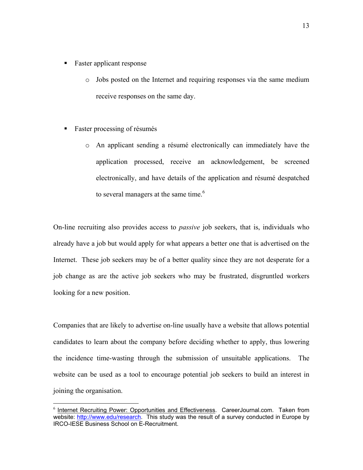- Faster applicant response
	- o Jobs posted on the Internet and requiring responses via the same medium receive responses on the same day.
- Faster processing of résumés

 $\overline{a}$ 

o An applicant sending a résumé electronically can immediately have the application processed, receive an acknowledgement, be screened electronically, and have details of the application and résumé despatched to several managers at the same time.<sup> $6$ </sup>

On-line recruiting also provides access to *passive* job seekers, that is, individuals who already have a job but would apply for what appears a better one that is advertised on the Internet. These job seekers may be of a better quality since they are not desperate for a job change as are the active job seekers who may be frustrated, disgruntled workers looking for a new position.

Companies that are likely to advertise on-line usually have a website that allows potential candidates to learn about the company before deciding whether to apply, thus lowering the incidence time-wasting through the submission of unsuitable applications. The website can be used as a tool to encourage potential job seekers to build an interest in joining the organisation.

<sup>6</sup> Internet Recruiting Power: Opportunities and Effectiveness. CareerJournal.com. Taken from website: http://www.edu/research. This study was the result of a survey conducted in Europe by IRCO-IESE Business School on E-Recruitment.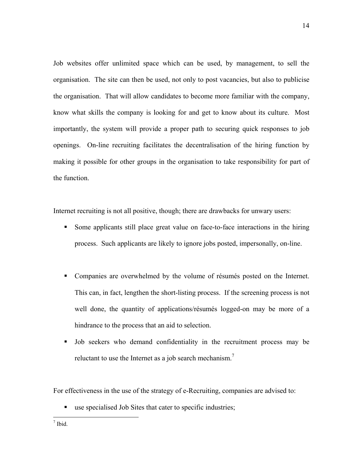Job websites offer unlimited space which can be used, by management, to sell the organisation. The site can then be used, not only to post vacancies, but also to publicise the organisation. That will allow candidates to become more familiar with the company, know what skills the company is looking for and get to know about its culture. Most importantly, the system will provide a proper path to securing quick responses to job openings. On-line recruiting facilitates the decentralisation of the hiring function by making it possible for other groups in the organisation to take responsibility for part of the function.

Internet recruiting is not all positive, though; there are drawbacks for unwary users:

- Some applicants still place great value on face-to-face interactions in the hiring process. Such applicants are likely to ignore jobs posted, impersonally, on-line.
- Companies are overwhelmed by the volume of résumés posted on the Internet. This can, in fact, lengthen the short-listing process. If the screening process is not well done, the quantity of applications/résumés logged-on may be more of a hindrance to the process that an aid to selection.
- Job seekers who demand confidentiality in the recruitment process may be reluctant to use the Internet as a job search mechanism.<sup>7</sup>

For effectiveness in the use of the strategy of e-Recruiting, companies are advised to:

use specialised Job Sites that cater to specific industries;

 $\frac{1}{\sqrt{1}}$  Ibid.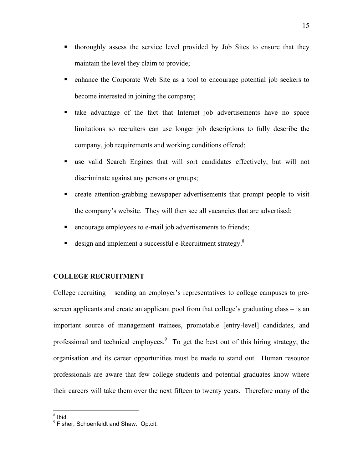- thoroughly assess the service level provided by Job Sites to ensure that they maintain the level they claim to provide;
- enhance the Corporate Web Site as a tool to encourage potential job seekers to become interested in joining the company;
- take advantage of the fact that Internet job advertisements have no space limitations so recruiters can use longer job descriptions to fully describe the company, job requirements and working conditions offered;
- use valid Search Engines that will sort candidates effectively, but will not discriminate against any persons or groups;
- create attention-grabbing newspaper advertisements that prompt people to visit the company's website. They will then see all vacancies that are advertised;
- **EXECUTE:** encourage employees to e-mail job advertisements to friends;
- design and implement a successful e-Recruitment strategy.<sup>8</sup>

## **COLLEGE RECRUITMENT**

College recruiting – sending an employer's representatives to college campuses to prescreen applicants and create an applicant pool from that college's graduating class – is an important source of management trainees, promotable [entry-level] candidates, and professional and technical employees. $9\degree$  To get the best out of this hiring strategy, the organisation and its career opportunities must be made to stand out. Human resource professionals are aware that few college students and potential graduates know where their careers will take them over the next fifteen to twenty years. Therefore many of the

 $\frac{8}{1}$  Ibid.

<sup>9</sup> Fisher, Schoenfeldt and Shaw. Op.cit.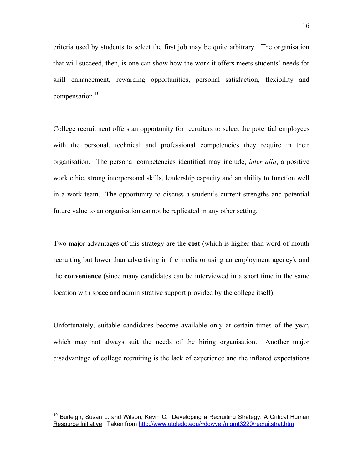criteria used by students to select the first job may be quite arbitrary. The organisation that will succeed, then, is one can show how the work it offers meets students' needs for skill enhancement, rewarding opportunities, personal satisfaction, flexibility and compensation.<sup>10</sup>

College recruitment offers an opportunity for recruiters to select the potential employees with the personal, technical and professional competencies they require in their organisation. The personal competencies identified may include, *inter alia*, a positive work ethic, strong interpersonal skills, leadership capacity and an ability to function well in a work team. The opportunity to discuss a student's current strengths and potential future value to an organisation cannot be replicated in any other setting.

Two major advantages of this strategy are the **cost** (which is higher than word-of-mouth recruiting but lower than advertising in the media or using an employment agency), and the **convenience** (since many candidates can be interviewed in a short time in the same location with space and administrative support provided by the college itself).

Unfortunately, suitable candidates become available only at certain times of the year, which may not always suit the needs of the hiring organisation. Another major disadvantage of college recruiting is the lack of experience and the inflated expectations

<sup>&</sup>lt;sup>10</sup> Burleigh, Susan L. and Wilson, Kevin C. Developing a Recruiting Strategy: A Critical Human Resource Initiative. Taken from http://www.utoledo.edu/~ddwyer/mgmt3220/recruitstrat.htm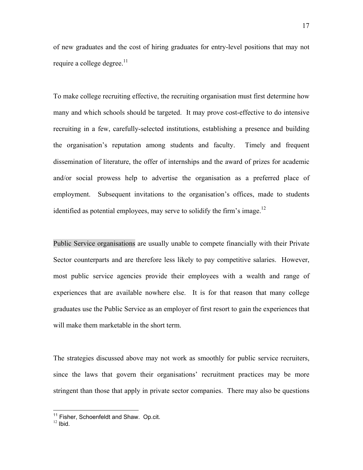of new graduates and the cost of hiring graduates for entry-level positions that may not require a college degree. $11$ 

To make college recruiting effective, the recruiting organisation must first determine how many and which schools should be targeted. It may prove cost-effective to do intensive recruiting in a few, carefully-selected institutions, establishing a presence and building the organisation's reputation among students and faculty. Timely and frequent dissemination of literature, the offer of internships and the award of prizes for academic and/or social prowess help to advertise the organisation as a preferred place of employment. Subsequent invitations to the organisation's offices, made to students identified as potential employees, may serve to solidify the firm's image.<sup>12</sup>

Public Service organisations are usually unable to compete financially with their Private Sector counterparts and are therefore less likely to pay competitive salaries. However, most public service agencies provide their employees with a wealth and range of experiences that are available nowhere else. It is for that reason that many college graduates use the Public Service as an employer of first resort to gain the experiences that will make them marketable in the short term.

The strategies discussed above may not work as smoothly for public service recruiters, since the laws that govern their organisations' recruitment practices may be more stringent than those that apply in private sector companies. There may also be questions

<sup>&</sup>lt;sup>11</sup> Fisher, Schoenfeldt and Shaw. Op.cit.<br><sup>12</sup> Ibid.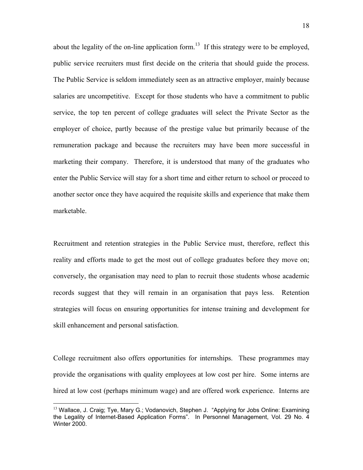about the legality of the on-line application form.<sup>13</sup> If this strategy were to be employed, public service recruiters must first decide on the criteria that should guide the process. The Public Service is seldom immediately seen as an attractive employer, mainly because salaries are uncompetitive. Except for those students who have a commitment to public service, the top ten percent of college graduates will select the Private Sector as the employer of choice, partly because of the prestige value but primarily because of the remuneration package and because the recruiters may have been more successful in marketing their company. Therefore, it is understood that many of the graduates who enter the Public Service will stay for a short time and either return to school or proceed to another sector once they have acquired the requisite skills and experience that make them marketable.

Recruitment and retention strategies in the Public Service must, therefore, reflect this reality and efforts made to get the most out of college graduates before they move on; conversely, the organisation may need to plan to recruit those students whose academic records suggest that they will remain in an organisation that pays less. Retention strategies will focus on ensuring opportunities for intense training and development for skill enhancement and personal satisfaction.

College recruitment also offers opportunities for internships. These programmes may provide the organisations with quality employees at low cost per hire. Some interns are hired at low cost (perhaps minimum wage) and are offered work experience. Interns are

<sup>&</sup>lt;sup>13</sup> Wallace, J. Craig; Tye, Mary G.; Vodanovich, Stephen J. "Applying for Jobs Online: Examining the Legality of Internet-Based Application Forms". In Personnel Management, Vol. 29 No. 4 Winter 2000.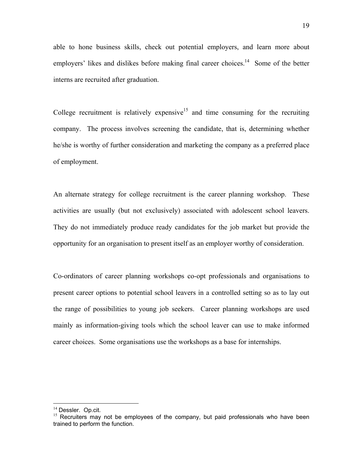able to hone business skills, check out potential employers, and learn more about employers' likes and dislikes before making final career choices.<sup>14</sup> Some of the better interns are recruited after graduation.

College recruitment is relatively expensive<sup>15</sup> and time consuming for the recruiting company. The process involves screening the candidate, that is, determining whether he/she is worthy of further consideration and marketing the company as a preferred place of employment.

An alternate strategy for college recruitment is the career planning workshop. These activities are usually (but not exclusively) associated with adolescent school leavers. They do not immediately produce ready candidates for the job market but provide the opportunity for an organisation to present itself as an employer worthy of consideration.

Co-ordinators of career planning workshops co-opt professionals and organisations to present career options to potential school leavers in a controlled setting so as to lay out the range of possibilities to young job seekers. Career planning workshops are used mainly as information-giving tools which the school leaver can use to make informed career choices. Some organisations use the workshops as a base for internships.

 $14$  Dessler. Op.cit.<br><sup>15</sup> Recruiters may not be employees of the company, but paid professionals who have been trained to perform the function.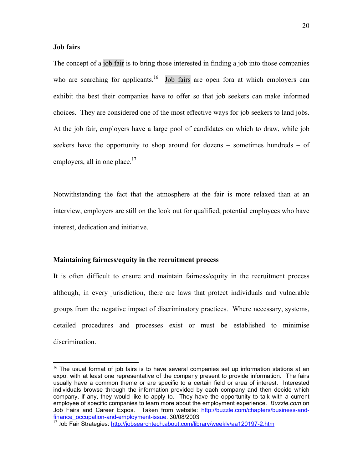#### **Job fairs**

1

The concept of a job fair is to bring those interested in finding a job into those companies who are searching for applicants.<sup>16</sup> Job fairs are open fora at which employers can exhibit the best their companies have to offer so that job seekers can make informed choices. They are considered one of the most effective ways for job seekers to land jobs. At the job fair, employers have a large pool of candidates on which to draw, while job seekers have the opportunity to shop around for dozens – sometimes hundreds – of employers, all in one place. $17$ 

Notwithstanding the fact that the atmosphere at the fair is more relaxed than at an interview, employers are still on the look out for qualified, potential employees who have interest, dedication and initiative.

#### **Maintaining fairness/equity in the recruitment process**

It is often difficult to ensure and maintain fairness/equity in the recruitment process although, in every jurisdiction, there are laws that protect individuals and vulnerable groups from the negative impact of discriminatory practices. Where necessary, systems, detailed procedures and processes exist or must be established to minimise discrimination.

 $16$  The usual format of job fairs is to have several companies set up information stations at an expo, with at least one representative of the company present to provide information. The fairs usually have a common theme or are specific to a certain field or area of interest. Interested individuals browse through the information provided by each company and then decide which company, if any, they would like to apply to. They have the opportunity to talk with a current employee of specific companies to learn more about the employment experience. *Buzzle.com* on Job Fairs and Career Expos. Taken from website: http://buzzle.com/chapters/business-and-<br>finance\_occupation-and-employment-issue. 30/08/2003

 $\frac{17}{17}$  Job Fair Strategies: http://jobsearchtech.about.com/library/weekly/aa120197-2.htm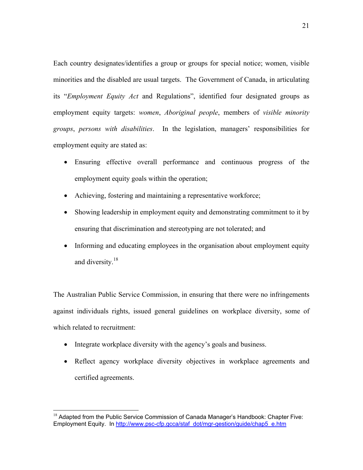Each country designates/identifies a group or groups for special notice; women, visible minorities and the disabled are usual targets. The Government of Canada, in articulating its "*Employment Equity Act* and Regulations", identified four designated groups as employment equity targets: *women*, *Aboriginal people*, members of *visible minority groups*, *persons with disabilities*. In the legislation, managers' responsibilities for employment equity are stated as:

- Ensuring effective overall performance and continuous progress of the employment equity goals within the operation;
- Achieving, fostering and maintaining a representative workforce;
- Showing leadership in employment equity and demonstrating commitment to it by ensuring that discrimination and stereotyping are not tolerated; and
- Informing and educating employees in the organisation about employment equity and diversity.<sup>18</sup>

The Australian Public Service Commission, in ensuring that there were no infringements against individuals rights, issued general guidelines on workplace diversity, some of which related to recruitment:

• Integrate workplace diversity with the agency's goals and business.

 $\overline{a}$ 

• Reflect agency workplace diversity objectives in workplace agreements and certified agreements.

<sup>&</sup>lt;sup>18</sup> Adapted from the Public Service Commission of Canada Manager's Handbook: Chapter Five: Employment Equity. In http://www.psc-cfp.gcca/staf\_dot/mgr-gestion/guide/chap5\_e.htm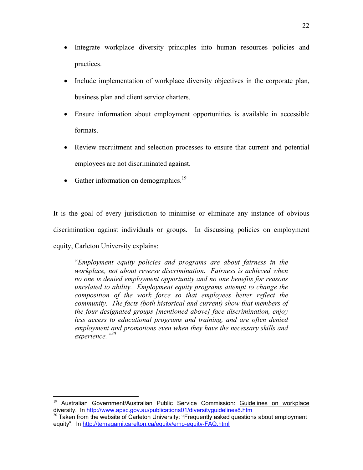- Integrate workplace diversity principles into human resources policies and practices.
- Include implementation of workplace diversity objectives in the corporate plan, business plan and client service charters.
- Ensure information about employment opportunities is available in accessible formats.
- Review recruitment and selection processes to ensure that current and potential employees are not discriminated against.
- Gather information on demographics.<sup>19</sup>

 $\overline{a}$ 

It is the goal of every jurisdiction to minimise or eliminate any instance of obvious discrimination against individuals or groups. In discussing policies on employment equity, Carleton University explains:

"*Employment equity policies and programs are about fairness in the workplace, not about reverse discrimination. Fairness is achieved when no one is denied employment opportunity and no one benefits for reasons unrelated to ability. Employment equity programs attempt to change the composition of the work force so that employees better reflect the community. The facts (both historical and current) show that members of the four designated groups [mentioned above] face discrimination, enjoy*  less access to educational programs and training, and are often denied *employment and promotions even when they have the necessary skills and experience."20*

<sup>&</sup>lt;sup>19</sup> Australian Government/Australian Public Service Commission: Guidelines on workplace diversity. In http://www.apsc.gov.au/publications01/diversityguidelines8.htm<br><sup>20</sup> Taken from the website of Carleton University: "Frequently asked questions about employment

equity". In http://temagami.carelton.ca/equity/emp-equity-FAQ.html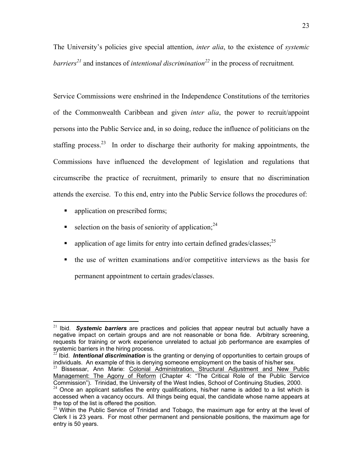The University's policies give special attention, *inter alia*, to the existence of *systemic barriers*<sup>21</sup> and instances of *intentional discrimination*<sup>22</sup> in the process of recruitment.

Service Commissions were enshrined in the Independence Constitutions of the territories of the Commonwealth Caribbean and given *inter alia*, the power to recruit/appoint persons into the Public Service and, in so doing, reduce the influence of politicians on the staffing process.<sup>23</sup> In order to discharge their authority for making appointments, the Commissions have influenced the development of legislation and regulations that circumscribe the practice of recruitment, primarily to ensure that no discrimination attends the exercise. To this end, entry into the Public Service follows the procedures of:

**application on prescribed forms;** 

- selection on the basis of seniority of application;  $24$
- qualization of age limits for entry into certain defined grades/classes;  $^{25}$
- the use of written examinations and/or competitive interviews as the basis for permanent appointment to certain grades/classes.

<sup>21</sup> Ibid. *Systemic barriers* are practices and policies that appear neutral but actually have a negative impact on certain groups and are not reasonable or bona fide. Arbitrary screening, requests for training or work experience unrelated to actual job performance are examples of systemic barriers in the hiring process.

<sup>&</sup>lt;sup>22</sup> Ibid. **Intentional discrimination** is the granting or denying of opportunities to certain groups of individuals. An example of this is denying someone employment on the basis of his/her sex.

<sup>&</sup>lt;sup>23</sup> Bissessar, Ann Marie: Colonial Administration, Structural Adjustment and New Public Management: The Agony of Reform (Chapter 4: "The Critical Role of the Public Service<br>Commission"). Trinidad, the University of the West Indies, School of Continuing Studies, 2000.

 $24$  Once an applicant satisfies the entry qualifications, his/her name is added to a list which is accessed when a vacancy occurs. All things being equal, the candidate whose name appears at the top of the list is offered the position.

 $25$  Within the Public Service of Trinidad and Tobago, the maximum age for entry at the level of Clerk I is 23 years. For most other permanent and pensionable positions, the maximum age for entry is 50 years.